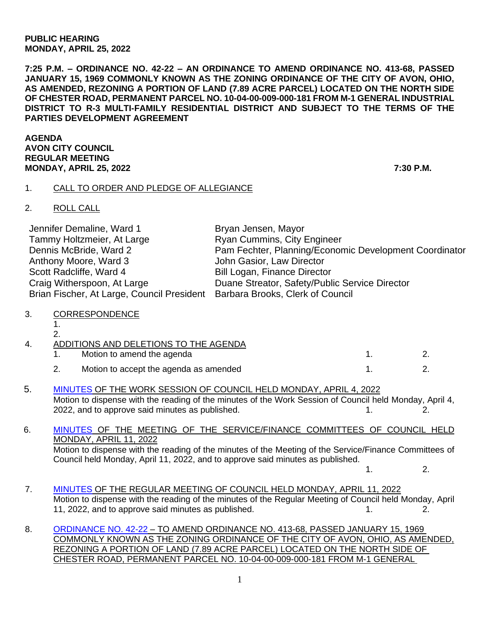## **PUBLIC HEARING MONDAY, APRIL 25, 2022**

**7:25 P.M. – ORDINANCE NO. 42-22 – AN ORDINANCE TO AMEND ORDINANCE NO. 413-68, PASSED JANUARY 15, 1969 COMMONLY KNOWN AS THE ZONING ORDINANCE OF THE CITY OF AVON, OHIO, AS AMENDED, REZONING A PORTION OF LAND (7.89 ACRE PARCEL) LOCATED ON THE NORTH SIDE OF CHESTER ROAD, PERMANENT PARCEL NO. 10-04-00-009-000-181 FROM M-1 GENERAL INDUSTRIAL DISTRICT TO R-3 MULTI-FAMILY RESIDENTIAL DISTRICT AND SUBJECT TO THE TERMS OF THE PARTIES DEVELOPMENT AGREEMENT**

**AGENDA AVON CITY COUNCIL REGULAR MEETING MONDAY, APRIL 25, 2022 7:30 P.M.**

## 1. CALL TO ORDER AND PLEDGE OF ALLEGIANCE

2. ROLL CALL

| Jennifer Demaline, Ward 1                                                   | Bryan Jensen, Mayor                                    |
|-----------------------------------------------------------------------------|--------------------------------------------------------|
| Tammy Holtzmeier, At Large                                                  | <b>Ryan Cummins, City Engineer</b>                     |
| Dennis McBride, Ward 2                                                      | Pam Fechter, Planning/Economic Development Coordinator |
| Anthony Moore, Ward 3                                                       | John Gasior, Law Director                              |
| Scott Radcliffe, Ward 4                                                     | <b>Bill Logan, Finance Director</b>                    |
| Craig Witherspoon, At Large                                                 | Duane Streator, Safety/Public Service Director         |
| Brian Fischer, At Large, Council President Barbara Brooks, Clerk of Council |                                                        |

- 3. CORRESPONDENCE
	- 1.  $\mathbf{a}$

5. [MINUTES](https://www.cityofavon.com/AgendaCenter/ViewFile/Minutes/_04042022-1083) OF THE WORK SESSION OF COUNCIL HELD MONDAY, APRIL 4, 2022 Motion to dispense with the reading of the minutes of the Work Session of Council held Monday, April 4, 2022, and to approve said minutes as published. 1. 2.

## 6. [MINUTES](https://www.cityofavon.com/AgendaCenter/ViewFile/Minutes/_04112022-1080) OF THE MEETING OF THE SERVICE/FINANCE COMMITTEES OF COUNCIL HELD MONDAY, APRIL 11, 2022 Motion to dispense with the reading of the minutes of the Meeting of the Service/Finance Committees of Council held Monday, April 11, 2022, and to approve said minutes as published. 1. 2.

- 7. [MINUTES](https://www.cityofavon.com/AgendaCenter/ViewFile/Minutes/_04112022-1085) OF THE REGULAR MEETING OF COUNCIL HELD MONDAY, APRIL 11, 2022 Motion to dispense with the reading of the minutes of the Regular Meeting of Council held Monday, April 11, 2022, and to approve said minutes as published.  $1.$  2.
- 8. [ORDINANCE NO. 42-22](https://www.cityofavon.com/DocumentCenter/View/7699/Ordinance-No-42-22---Rezoning---Concord-Village---Final) TO AMEND ORDINANCE NO. 413-68, PASSED JANUARY 15, 1969 COMMONLY KNOWN AS THE ZONING ORDINANCE OF THE CITY OF AVON, OHIO, AS AMENDED, REZONING A PORTION OF LAND (7.89 ACRE PARCEL) LOCATED ON THE NORTH SIDE OF CHESTER ROAD, PERMANENT PARCEL NO. 10-04-00-009-000-181 FROM M-1 GENERAL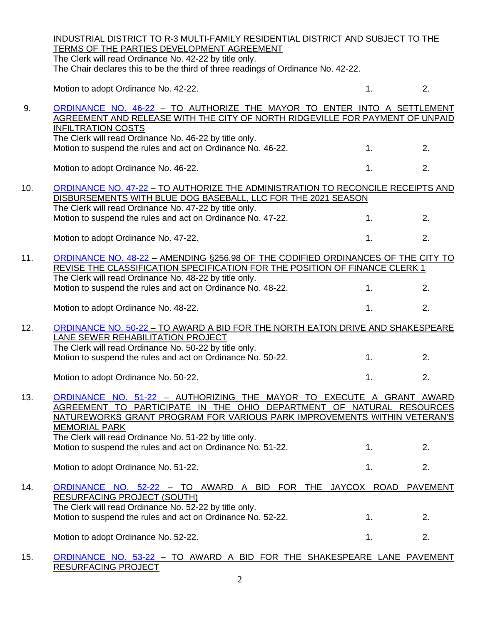|     | INDUSTRIAL DISTRICT TO R-3 MULTI-FAMILY RESIDENTIAL DISTRICT AND SUBJECT TO THE                                                                                                                                                                                                                                |    |    |  |
|-----|----------------------------------------------------------------------------------------------------------------------------------------------------------------------------------------------------------------------------------------------------------------------------------------------------------------|----|----|--|
|     | TERMS OF THE PARTIES DEVELOPMENT AGREEMENT<br>The Clerk will read Ordinance No. 42-22 by title only.                                                                                                                                                                                                           |    |    |  |
|     | The Chair declares this to be the third of three readings of Ordinance No. 42-22.                                                                                                                                                                                                                              |    |    |  |
|     | Motion to adopt Ordinance No. 42-22.                                                                                                                                                                                                                                                                           | 1. | 2. |  |
| 9.  | ORDINANCE NO. 46-22 - TO AUTHORIZE THE MAYOR TO ENTER INTO A SETTLEMENT<br>AGREEMENT AND RELEASE WITH THE CITY OF NORTH RIDGEVILLE FOR PAYMENT OF UNPAID<br><b>INFILTRATION COSTS</b><br>The Clerk will read Ordinance No. 46-22 by title only.<br>Motion to suspend the rules and act on Ordinance No. 46-22. | 1. | 2. |  |
|     | Motion to adopt Ordinance No. 46-22.                                                                                                                                                                                                                                                                           | 1. | 2. |  |
|     |                                                                                                                                                                                                                                                                                                                |    |    |  |
| 10. | ORDINANCE NO. 47-22 - TO AUTHORIZE THE ADMINISTRATION TO RECONCILE RECEIPTS AND<br>DISBURSEMENTS WITH BLUE DOG BASEBALL, LLC FOR THE 2021 SEASON                                                                                                                                                               |    |    |  |
|     | The Clerk will read Ordinance No. 47-22 by title only.                                                                                                                                                                                                                                                         |    |    |  |
|     | Motion to suspend the rules and act on Ordinance No. 47-22.                                                                                                                                                                                                                                                    | 1. | 2. |  |
|     | Motion to adopt Ordinance No. 47-22.                                                                                                                                                                                                                                                                           | 1. | 2. |  |
| 11. | ORDINANCE NO. 48-22 - AMENDING §256.98 OF THE CODIFIED ORDINANCES OF THE CITY TO<br>REVISE THE CLASSIFICATION SPECIFICATION FOR THE POSITION OF FINANCE CLERK 1                                                                                                                                                |    |    |  |
|     | The Clerk will read Ordinance No. 48-22 by title only.                                                                                                                                                                                                                                                         |    |    |  |
|     | Motion to suspend the rules and act on Ordinance No. 48-22.                                                                                                                                                                                                                                                    | 1. | 2. |  |
|     | Motion to adopt Ordinance No. 48-22.                                                                                                                                                                                                                                                                           | 1. | 2. |  |
| 12. | ORDINANCE NO. 50-22 - TO AWARD A BID FOR THE NORTH EATON DRIVE AND SHAKESPEARE                                                                                                                                                                                                                                 |    |    |  |
|     | LANE SEWER REHABILITATION PROJECT<br>The Clerk will read Ordinance No. 50-22 by title only.                                                                                                                                                                                                                    |    |    |  |
|     | Motion to suspend the rules and act on Ordinance No. 50-22.                                                                                                                                                                                                                                                    | 1. | 2. |  |
|     |                                                                                                                                                                                                                                                                                                                |    |    |  |
|     | Motion to adopt Ordinance No. 50-22.                                                                                                                                                                                                                                                                           | 1. | 2. |  |
| 13. | ORDINANCE NO. 51-22 - AUTHORIZING THE MAYOR TO EXECUTE A GRANT AWARD<br>AGREEMENT TO PARTICIPATE IN THE OHIO DEPARTMENT OF NATURAL RESOURCES                                                                                                                                                                   |    |    |  |
|     | NATUREWORKS GRANT PROGRAM FOR VARIOUS PARK IMPROVEMENTS WITHIN VETERAN'S                                                                                                                                                                                                                                       |    |    |  |
|     | <b>MEMORIAL PARK</b><br>The Clerk will read Ordinance No. 51-22 by title only.                                                                                                                                                                                                                                 |    |    |  |
|     | Motion to suspend the rules and act on Ordinance No. 51-22.                                                                                                                                                                                                                                                    | 1. | 2. |  |
|     | Motion to adopt Ordinance No. 51-22.                                                                                                                                                                                                                                                                           | 1. | 2. |  |
| 14. | ORDINANCE NO. 52-22 - TO AWARD A BID FOR THE JAYCOX ROAD PAVEMENT<br><b>RESURFACING PROJECT (SOUTH)</b>                                                                                                                                                                                                        |    |    |  |
|     | The Clerk will read Ordinance No. 52-22 by title only.                                                                                                                                                                                                                                                         |    |    |  |
|     | Motion to suspend the rules and act on Ordinance No. 52-22.                                                                                                                                                                                                                                                    | 1. | 2. |  |
|     | Motion to adopt Ordinance No. 52-22.                                                                                                                                                                                                                                                                           | 1. | 2. |  |
| 15. | ORDINANCE NO. 53-22 - TO AWARD A BID FOR THE SHAKESPEARE LANE PAVEMENT<br>RESURFACING PROJECT                                                                                                                                                                                                                  |    |    |  |

2